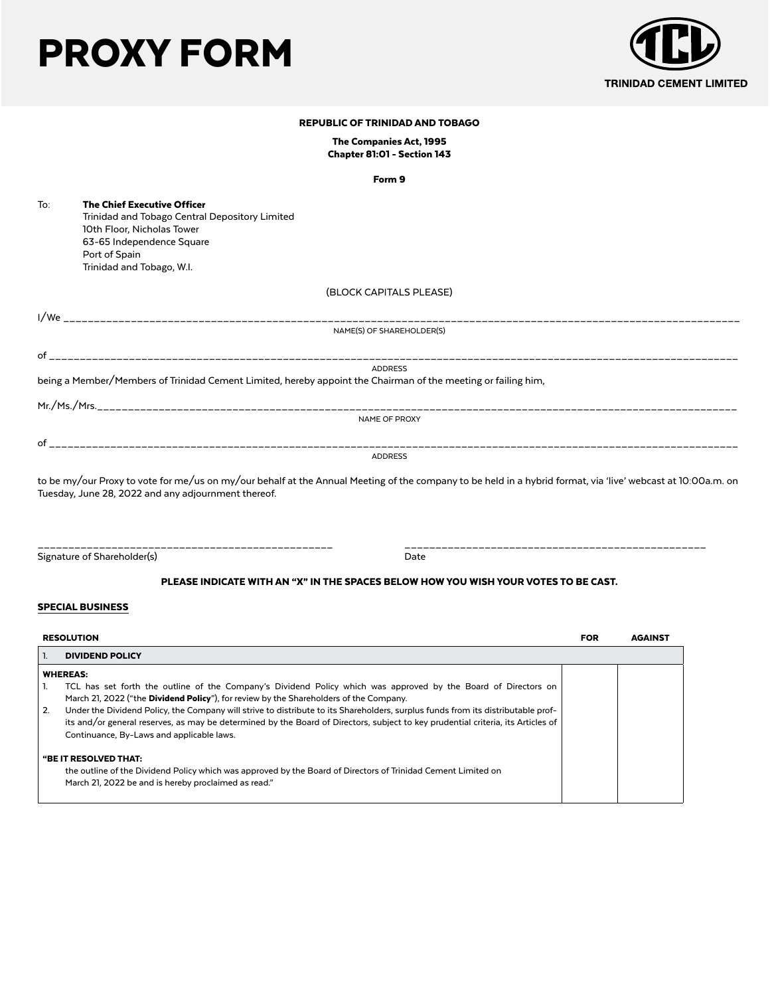# PROXY FORM



| <b>REPUBLIC OF TRINIDAD AND TOBAGO</b> |                                                                                                                                                                                                                     |  |  |
|----------------------------------------|---------------------------------------------------------------------------------------------------------------------------------------------------------------------------------------------------------------------|--|--|
|                                        | The Companies Act, 1995<br>Chapter 81:01 - Section 143                                                                                                                                                              |  |  |
|                                        | Form 9                                                                                                                                                                                                              |  |  |
| To:                                    | <b>The Chief Executive Officer</b><br>Trinidad and Tobago Central Depository Limited<br>10th Floor, Nicholas Tower<br>63-65 Independence Square<br>Port of Spain<br>Trinidad and Tobago, W.I.                       |  |  |
|                                        | (BLOCK CAPITALS PLEASE)                                                                                                                                                                                             |  |  |
|                                        |                                                                                                                                                                                                                     |  |  |
|                                        | NAME(S) OF SHAREHOLDER(S)                                                                                                                                                                                           |  |  |
|                                        |                                                                                                                                                                                                                     |  |  |
|                                        | <b>ADDRESS</b>                                                                                                                                                                                                      |  |  |
|                                        | being a Member/Members of Trinidad Cement Limited, hereby appoint the Chairman of the meeting or failing him,                                                                                                       |  |  |
|                                        |                                                                                                                                                                                                                     |  |  |
|                                        | NAME OF PROXY                                                                                                                                                                                                       |  |  |
|                                        |                                                                                                                                                                                                                     |  |  |
|                                        | <b>ADDRESS</b>                                                                                                                                                                                                      |  |  |
|                                        | to be my/our Proxy to vote for me/us on my/our behalf at the Annual Meeting of the company to be held in a hybrid format, via 'live' webcast at 10:00a.m. on<br>Tuesday, June 28, 2022 and any adjournment thereof. |  |  |

Signature of Shareholder(s) and the Shareholder of Shareholder (s) and the Date of Shareholder (s) and Date of Date

\_\_\_\_\_\_\_\_\_\_\_\_\_\_\_\_\_\_\_\_\_\_\_\_\_\_\_\_\_\_\_\_\_\_\_\_\_\_\_\_\_\_\_\_\_\_\_\_ \_\_\_\_\_\_\_\_\_\_\_\_\_\_\_\_\_\_\_\_\_\_\_\_\_\_\_\_\_\_\_\_\_\_\_\_\_\_\_\_\_\_\_\_\_\_\_\_\_

# PLEASE INDICATE WITH AN "X" IN THE SPACES BELOW HOW YOU WISH YOUR VOTES TO BE CAST.

## SPECIAL BUSINESS

| <b>RESOLUTION</b> |                                                                                                                                                                                                          | <b>FOR</b> | <b>AGAINST</b> |  |  |
|-------------------|----------------------------------------------------------------------------------------------------------------------------------------------------------------------------------------------------------|------------|----------------|--|--|
|                   | <b>DIVIDEND POLICY</b>                                                                                                                                                                                   |            |                |  |  |
| <b>WHEREAS:</b>   |                                                                                                                                                                                                          |            |                |  |  |
|                   | TCL has set forth the outline of the Company's Dividend Policy which was approved by the Board of Directors on<br>March 21, 2022 ("the Dividend Policy"), for review by the Shareholders of the Company. |            |                |  |  |
| 2.                | Under the Dividend Policy, the Company will strive to distribute to its Shareholders, surplus funds from its distributable prof-                                                                         |            |                |  |  |
|                   | its and/or general reserves, as may be determined by the Board of Directors, subject to key prudential criteria, its Articles of<br>Continuance, By-Laws and applicable laws.                            |            |                |  |  |
|                   | "BE IT RESOLVED THAT:                                                                                                                                                                                    |            |                |  |  |
|                   | the outline of the Dividend Policy which was approved by the Board of Directors of Trinidad Cement Limited on<br>March 21, 2022 be and is hereby proclaimed as read."                                    |            |                |  |  |